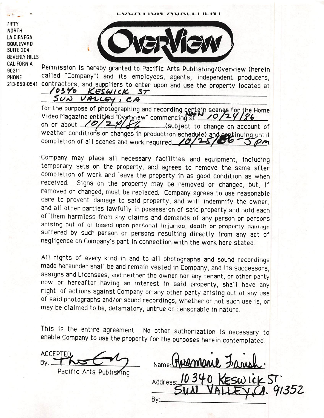VUM HUN MUNLLI ILIVI

FIFTY NORTH LA CIENEGA **BOULEVARD** SUITE 204. BEVERLY HILLS CALIFORNIA Derminesian in benef



90211 Permission is hereby granted to Pacific Arts Publishing/Overview (herein PHONE called "Company") and its employees, agents, independent producers, 213.659.0541 contractors, and suppliers to enter upon and use the property located at  $\frac{10346}{10340}$  KESWICK ST 10340

VALLEY, CA  $50\omega$ 

for the purpose of photographing and recording certain scenes for the Home Video Magazine entitled "Overview" commencing at  $\frac{10}{24}$ <br>on or about  $\frac{10}{24}$   $\frac{10}{24}$  $\sqrt{4}$  (subject to change on account of weather conditions or changes in production schedule) and eastinuing until completion of all scenes and work required.  $\angle 0$  $\mathcal{P}$ m

Company may place all necessary facilities and equipment, including temporary sets on the property, and agrees to remove the same after completion of work and leave the property in as good condition as when received. Signs on the property may be removed or changed, but, if removed or changed, must be replaced. Company agrees to use reasonable care to prevent damage to said property, and will indemnify the owner, and all other parties lawfully in possession of said property and hold each of them harmless from any claims and demands of any person or persons arising out of or based upon personal injuries, death or property damage suffered by such person or persons resulting directly from any act of negligence on Company's part in connection with the work here stated.

All rights of every kind in and to all photographs and sound recordings made hereunder shall be and remain vested in Company, and its successors, assigns and Licensees, and neither the owner nor any tenant, or other party now or hereafter having an interest in said property, shall have any right of actions against Company or any other party arising out of any use of said photographs and/or sound recordings, whether or not such use is, or may be claimed to be, defamatory, untrue or censorable in nature.

This is the entire agreement. No other authorization is necessary to enable Company to use the property for the purposes herein contemplated

ACCEPTED  $Bv:$ Pacific Arts Publishing

Hosemane Frans Name: Address:  $10340$  KESW (CK SUN VALLEY,  $A.$  91352 B y : f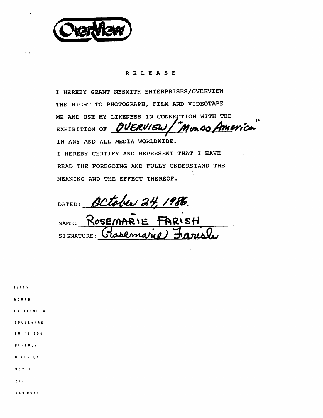

## RELEASE

I HEREBY GRANT NESMITH ENTERPRISES/OVERVIEW THE RIGHT TO PHOTOGRAPH, FILM AND VIDEOTAPE ME AND USE MY LIKENESS IN CONNECTION WITH THE EXHIBITION OF OVERVIEW Muzso America IN ANY AND ALL MEDIA WORLDWIDE. I HEREBY CERTIFY AND REPRESENT THAT I HAVE READ THE FOREGOING AND FULLY UNDERSTAND THE MEANING AND THE EFFECT THEREOF.

DATED: October 24, 1986.

NAME: ROSEMARIE FARISH SIGNATURE:

f I f 1 Y north LA CIENEGA B 0 U t E V A R B S U I T E 2 0 4 BEVERLY H I L L S C A 9 0 2 1 1 2 1 3 6 S 90 S 4 1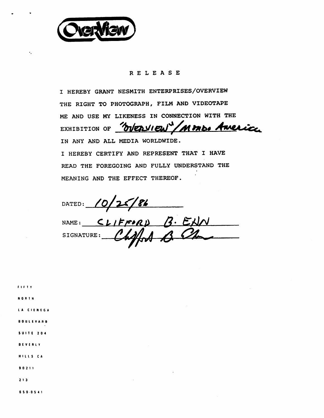

 $\bullet$ 

## RELEASE

I HEREBY GRANT NESMITH ENTERPRISES/OVERVIEW THE RIGHT TO PHOTOGRAPH, FILM AND VIDEOTAPE ME AND USE MY LIKENESS IN CONNECTION WITH THE EXHIBITION OF WEDVIEW / MMD. America IN ANY AND ALL MEDIA WORLDWIDE. I HEREBY CERTIFY AND REPRESENT THAT I HAVE READ THE FOREGOING AND FULLY UNDERSTAND THE MEANING AND THE EFFECT THEREOF.

DATED:  $10/25/86$ 

NAME; SIGNATURE;

( I ( 1 Y NORTH LA CIENEGA BOUIEVARB S U I T E 2 0 4 BEVERLY H I L I S C A 9 0 2 11 2 1 3 6 S 9 0 S 4 1